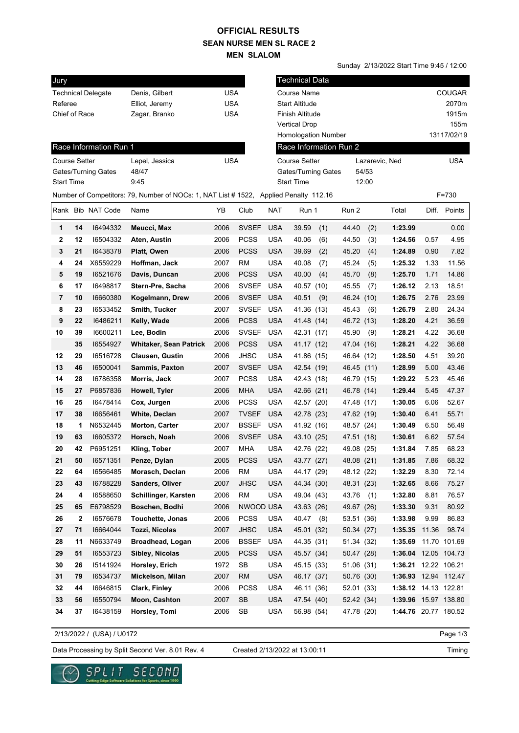## **SEAN NURSE MEN SL RACE 2 MEN SLALOM OFFICIAL RESULTS**

Sunday 2/13/2022 Start Time 9:45 / 12:00

| Jury                |                      |                           |                                                                                       |            |              |                              | <b>Technical Data</b>  |            |       |                      |       |              |  |
|---------------------|----------------------|---------------------------|---------------------------------------------------------------------------------------|------------|--------------|------------------------------|------------------------|------------|-------|----------------------|-------|--------------|--|
|                     |                      | <b>Technical Delegate</b> | Denis, Gilbert                                                                        | <b>USA</b> |              |                              | <b>Course Name</b>     |            |       |                      |       | COUGAR       |  |
| Referee             |                      |                           | Elliot, Jeremy                                                                        | <b>USA</b> |              | <b>Start Altitude</b>        |                        |            |       |                      | 2070m |              |  |
|                     | Chief of Race        |                           | Zagar, Branko                                                                         | <b>USA</b> |              |                              | Finish Altitude        |            |       |                      |       | 1915m        |  |
|                     |                      |                           |                                                                                       |            |              |                              |                        |            |       |                      | 155m  |              |  |
|                     |                      |                           |                                                                                       |            |              |                              | Homologation Number    |            |       |                      |       | 13117/02/19  |  |
|                     |                      | Race Information Run 1    |                                                                                       |            |              |                              | Race Information Run 2 |            |       |                      |       |              |  |
|                     | <b>Course Setter</b> |                           | Lepel, Jessica                                                                        | <b>USA</b> |              |                              | <b>Course Setter</b>   |            |       | Lazarevic, Ned       |       | <b>USA</b>   |  |
| Gates/Turning Gates |                      |                           | 48/47                                                                                 |            |              | Gates/Turning Gates<br>54/53 |                        |            |       |                      |       |              |  |
| <b>Start Time</b>   |                      |                           | 9:45                                                                                  |            |              |                              | <b>Start Time</b>      |            | 12:00 |                      |       |              |  |
|                     |                      |                           | Number of Competitors: 79, Number of NOCs: 1, NAT List # 1522, Applied Penalty 112.16 |            |              |                              |                        |            |       |                      |       | F=730        |  |
|                     |                      | Rank Bib NAT Code         | Name                                                                                  | YΒ         | Club         | <b>NAT</b>                   | Run 1                  | Run 2      |       | Total                |       | Diff. Points |  |
| 1                   | 14                   | 16494332                  | Meucci, Max                                                                           | 2006       | <b>SVSEF</b> | <b>USA</b>                   | 39.59<br>(1)           | 44.40      | (2)   | 1:23.99              |       | 0.00         |  |
| 2                   | 12                   | 16504332                  | Aten, Austin                                                                          | 2006       | <b>PCSS</b>  | <b>USA</b>                   | 40.06<br>(6)           | 44.50      | (3)   | 1:24.56              | 0.57  | 4.95         |  |
| 3                   | 21                   | 16438378                  | Platt, Owen                                                                           | 2006       | <b>PCSS</b>  | <b>USA</b>                   | (2)<br>39.69           | 45.20      | (4)   | 1:24.89              | 0.90  | 7.82         |  |
| 4                   | 24                   | X6559229                  | Hoffman, Jack                                                                         | 2007       | RM           | <b>USA</b>                   | 40.08<br>(7)           | 45.24      | (5)   | 1:25.32              | 1.33  | 11.56        |  |
| 5                   | 19                   | 16521676                  | Davis, Duncan                                                                         | 2006       | <b>PCSS</b>  | <b>USA</b>                   | 40.00<br>(4)           | 45.70      | (8)   | 1:25.70              | 1.71  | 14.86        |  |
| 6                   | 17                   | 16498817                  | Stern-Pre, Sacha                                                                      | 2006       | <b>SVSEF</b> | <b>USA</b>                   | 40.57 (10)             | 45.55      | (7)   | 1:26.12              | 2.13  | 18.51        |  |
| 7                   | 10                   | 16660380                  | Kogelmann, Drew                                                                       | 2006       | <b>SVSEF</b> | <b>USA</b>                   | 40.51<br>(9)           | 46.24      | (10)  | 1:26.75              | 2.76  | 23.99        |  |
| 8                   | 23                   | 16533452                  | Smith, Tucker                                                                         | 2007       | <b>SVSEF</b> | <b>USA</b>                   | 41.36 (13)             | 45.43      | (6)   | 1:26.79              | 2.80  | 24.34        |  |
| 9                   | 22                   | 16486211                  | Kelly, Wade                                                                           | 2006       | <b>PCSS</b>  | <b>USA</b>                   | 41.48 (14)             | 46.72 (13) |       | 1:28.20              | 4.21  | 36.59        |  |
| 10                  | 39                   | 16600211                  | Lee, Bodin                                                                            | 2006       | <b>SVSEF</b> | <b>USA</b>                   | 42.31 (17)             | 45.90      | (9)   | 1:28.21              | 4.22  | 36.68        |  |
|                     | 35                   | 16554927                  | <b>Whitaker, Sean Patrick</b>                                                         | 2006       | <b>PCSS</b>  | <b>USA</b>                   | 41.17 (12)             | 47.04 (16) |       | 1:28.21              | 4.22  | 36.68        |  |
| 12                  | 29                   | 16516728                  | <b>Clausen, Gustin</b>                                                                | 2006       | <b>JHSC</b>  | <b>USA</b>                   | 41.86 (15)             | 46.64 (12) |       | 1:28.50              | 4.51  | 39.20        |  |
| 13                  | 46                   | 16500041                  | <b>Sammis, Paxton</b>                                                                 | 2007       | <b>SVSEF</b> | <b>USA</b>                   | 42.54 (19)             | 46.45 (11) |       | 1:28.99              | 5.00  | 43.46        |  |
| 14                  | 28                   | 16786358                  | Morris, Jack                                                                          | 2007       | <b>PCSS</b>  | <b>USA</b>                   | 42.43 (18)             | 46.79 (15) |       | 1:29.22              | 5.23  | 45.46        |  |
| 15                  | 27                   | P6857836                  | Howell, Tyler                                                                         | 2006       | <b>MHA</b>   | <b>USA</b>                   | 42.66 (21)             | 46.78 (14) |       | 1:29.44              | 5.45  | 47.37        |  |
| 16                  | 25                   | 16478414                  | Cox, Jurgen                                                                           | 2006       | <b>PCSS</b>  | <b>USA</b>                   | 42.57 (20)             | 47.48 (17) |       | 1:30.05              | 6.06  | 52.67        |  |
| 17                  | 38                   | 16656461                  | White, Declan                                                                         | 2007       | <b>TVSEF</b> | <b>USA</b>                   | 42.78 (23)             | 47.62 (19) |       | 1:30.40              | 6.41  | 55.71        |  |
| 18                  | 1                    | N6532445                  | <b>Morton, Carter</b>                                                                 | 2007       | <b>BSSEF</b> | <b>USA</b>                   | 41.92 (16)             | 48.57 (24) |       | 1:30.49              | 6.50  | 56.49        |  |
| 19                  | 63                   | 16605372                  | Horsch, Noah                                                                          | 2006       | <b>SVSEF</b> | <b>USA</b>                   | 43.10 (25)             | 47.51 (18) |       | 1:30.61              | 6.62  | 57.54        |  |
| 20                  | 42                   | P6951251                  | Kling, Tober                                                                          | 2007       | <b>MHA</b>   | <b>USA</b>                   | 42.76 (22)             | 49.08 (25) |       | 1:31.84              | 7.85  | 68.23        |  |
| 21                  | 50                   | 16571351                  | Penze, Dylan                                                                          | 2005       | <b>PCSS</b>  | <b>USA</b>                   | 43.77 (27)             | 48.08 (21) |       | 1:31.85              | 7.86  | 68.32        |  |
| 22                  | 64                   | 16566485                  | Morasch, Declan                                                                       | 2006       | RM           | <b>USA</b>                   | 44.17 (29)             | 48.12 (22) |       | 1:32.29              | 8.30  | 72.14        |  |
| 23                  | 43                   | 16788228                  | Sanders, Oliver                                                                       | 2007       | <b>JHSC</b>  | <b>USA</b>                   | 44.34 (30)             | 48.31 (23) |       | 1:32.65              | 8.66  | 75.27        |  |
| 24                  | 4                    | 16588650                  | Schillinger, Karsten                                                                  | 2006       | <b>RM</b>    | <b>USA</b>                   | 49.04 (43)             | 43.76      | (1)   | 1:32.80              | 8.81  | 76.57        |  |
| 25                  | 65                   | E6798529                  | Boschen, Bodhi                                                                        | 2006       | NWOOD USA    |                              | 43.63 (26)             | 49.67 (26) |       | 1:33.30              | 9.31  | 80.92        |  |
| 26                  | $\mathbf 2$          | 16576678                  | Touchette, Jonas                                                                      | 2006       | <b>PCSS</b>  | <b>USA</b>                   | 40.47 (8)              | 53.51 (36) |       | 1:33.98              | 9.99  | 86.83        |  |
| 27                  | 71                   | 16664044                  | Tozzi, Nicolas                                                                        | 2007       | <b>JHSC</b>  | <b>USA</b>                   | 45.01 (32)             | 50.34 (27) |       | 1:35.35              | 11.36 | 98.74        |  |
| 28                  | 11                   | N6633749                  | Broadhead, Logan                                                                      | 2006       | <b>BSSEF</b> | <b>USA</b>                   | 44.35 (31)             | 51.34 (32) |       | 1:35.69              |       | 11.70 101.69 |  |
| 29                  | 51                   | 16553723                  | Sibley, Nicolas                                                                       | 2005       | <b>PCSS</b>  | <b>USA</b>                   | 45.57 (34)             | 50.47 (28) |       | 1:36.04 12.05 104.73 |       |              |  |
| 30                  | 26                   | 15141924                  | Horsley, Erich                                                                        | 1972       | SB           | <b>USA</b>                   | 45.15 (33)             | 51.06 (31) |       | 1:36.21 12.22 106.21 |       |              |  |
| 31                  | 79                   | 16534737                  | Mickelson, Milan                                                                      | 2007       | <b>RM</b>    | <b>USA</b>                   | 46.17 (37)             | 50.76 (30) |       | 1:36.93 12.94 112.47 |       |              |  |
| 32                  | 44                   | 16646815                  | Clark, Finley                                                                         | 2006       | <b>PCSS</b>  | <b>USA</b>                   | 46.11 (36)             | 52.01 (33) |       | 1:38.12 14.13 122.81 |       |              |  |
| 33                  | 56                   | 16550794                  | Moon, Cashton                                                                         | 2007       | SB           | <b>USA</b>                   | 47.54 (40)             | 52.42 (34) |       | 1:39.96 15.97 138.80 |       |              |  |
| 34                  | 37                   | 16438159                  | Horsley, Tomi                                                                         | 2006       | SB           | <b>USA</b>                   | 56.98 (54)             | 47.78 (20) |       | 1:44.76 20.77 180.52 |       |              |  |
|                     |                      |                           |                                                                                       |            |              |                              |                        |            |       |                      |       |              |  |

2/13/2022 / (USA) / U0172

Page 1/3

Data Processing by Split Second Ver. 8.01 Rev. 4 Created 2/13/2022 at 13:00:11

Created 2/13/2022 at 13:00:11



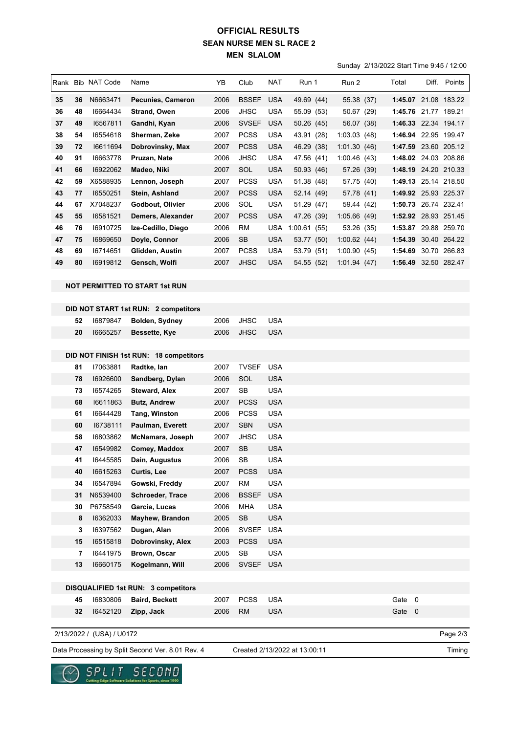## **SEAN NURSE MEN SL RACE 2 MEN SLALOM OFFICIAL RESULTS**

Sunday 2/13/2022 Start Time 9:45 / 12:00

|                                     |          | Rank Bib NAT Code         | Name                                             | YΒ           | Club                       | NAT               | Run 1                         | Run 2       |  | Total                |  | Diff. Points         |
|-------------------------------------|----------|---------------------------|--------------------------------------------------|--------------|----------------------------|-------------------|-------------------------------|-------------|--|----------------------|--|----------------------|
| 35                                  | 36       | N6663471                  | Pecunies, Cameron                                | 2006         | <b>BSSEF</b>               | <b>USA</b>        | 49.69 (44)                    | 55.38 (37)  |  |                      |  | 1:45.07 21.08 183.22 |
| 36                                  | 48       | 16664434                  | <b>Strand, Owen</b>                              | 2006         | <b>JHSC</b>                | USA               | 55.09 (53)                    | 50.67 (29)  |  | 1:45.76 21.77 189.21 |  |                      |
| 37                                  | 49       | 16567811                  | Gandhi, Kyan                                     | 2006         | <b>SVSEF</b>               | <b>USA</b>        | 50.26 (45)                    | 56.07 (38)  |  | 1:46.33 22.34 194.17 |  |                      |
| 38                                  | 54       | 16554618                  | Sherman, Zeke                                    | 2007         | <b>PCSS</b>                | <b>USA</b>        | 43.91 (28)                    | 1:03.03(48) |  | 1:46.94 22.95 199.47 |  |                      |
| 39                                  | 72       | 16611694                  | Dobrovinsky, Max                                 | 2007         | <b>PCSS</b>                | <b>USA</b>        | 46.29 (38)                    | 1:01.30(46) |  | 1:47.59 23.60 205.12 |  |                      |
| 40                                  | 91       | 16663778                  | Pruzan, Nate                                     | 2006         | <b>JHSC</b>                | <b>USA</b>        | 47.56 (41)                    | 1:00.46(43) |  | 1:48.02 24.03 208.86 |  |                      |
| 41                                  | 66       | 16922062                  | Madeo, Niki                                      | 2007         | SOL                        | <b>USA</b>        | 50.93 (46)                    | 57.26 (39)  |  | 1:48.19 24.20 210.33 |  |                      |
| 42                                  | 59       | X6588935                  | Lennon, Joseph                                   | 2007         | <b>PCSS</b>                | <b>USA</b>        | 51.38 (48)                    | 57.75 (40)  |  | 1:49.13 25.14 218.50 |  |                      |
| 43                                  | 77       | 16550251                  | Stein, Ashland                                   | 2007         | <b>PCSS</b>                | USA               | 52.14 (49)                    | 57.78 (41)  |  | 1:49.92 25.93 225.37 |  |                      |
| 44                                  | 67       | X7048237                  | Godbout, Olivier                                 | 2006         | SOL                        | <b>USA</b>        | 51.29 (47)                    | 59.44 (42)  |  |                      |  | 1:50.73 26.74 232.41 |
| 45                                  | 55       | 16581521                  | Demers, Alexander                                | 2007         | <b>PCSS</b>                | <b>USA</b>        | 47.26 (39)                    | 1:05.66(49) |  | 1:52.92 28.93 251.45 |  |                      |
| 46                                  | 76       | 16910725                  | Ize-Cedillo, Diego                               | 2006         | <b>RM</b>                  | <b>USA</b>        | 1:00.61(55)                   | 53.26 (35)  |  | 1:53.87 29.88 259.70 |  |                      |
| 47                                  | 75       | 16869650                  | Doyle, Connor                                    | 2006         | SB                         | <b>USA</b>        | 53.77 (50)                    | 1:00.62(44) |  | 1:54.39 30.40 264.22 |  |                      |
| 48                                  | 69       | 16714651                  | Glidden, Austin                                  | 2007         | <b>PCSS</b>                | <b>USA</b>        | 53.79 (51)                    | 1:00.90(45) |  | 1:54.69              |  | 30.70 266.83         |
| 49                                  | 80       | 16919812                  | Gensch, Wolfi                                    | 2007         | <b>JHSC</b>                | <b>USA</b>        | 54.55 (52)                    | 1:01.94(47) |  |                      |  | 1:56.49 32.50 282.47 |
|                                     |          |                           |                                                  |              |                            |                   |                               |             |  |                      |  |                      |
|                                     |          |                           | <b>NOT PERMITTED TO START 1st RUN</b>            |              |                            |                   |                               |             |  |                      |  |                      |
|                                     |          |                           |                                                  |              |                            |                   |                               |             |  |                      |  |                      |
|                                     |          |                           | DID NOT START 1st RUN: 2 competitors             |              |                            |                   |                               |             |  |                      |  |                      |
|                                     | 52<br>20 | 16879847<br>16665257      | <b>Bolden, Sydney</b>                            | 2006<br>2006 | <b>JHSC</b><br><b>JHSC</b> | <b>USA</b><br>USA |                               |             |  |                      |  |                      |
|                                     |          |                           | Bessette, Kye                                    |              |                            |                   |                               |             |  |                      |  |                      |
|                                     |          |                           | DID NOT FINISH 1st RUN: 18 competitors           |              |                            |                   |                               |             |  |                      |  |                      |
|                                     | 81       | 17063881                  | Radtke, lan                                      | 2007         | <b>TVSEF</b>               | <b>USA</b>        |                               |             |  |                      |  |                      |
|                                     | 78       | 16926600                  | Sandberg, Dylan                                  | 2006         | SOL                        | <b>USA</b>        |                               |             |  |                      |  |                      |
|                                     | 73       | 16574265                  | <b>Steward, Alex</b>                             | 2007         | <b>SB</b>                  | <b>USA</b>        |                               |             |  |                      |  |                      |
|                                     | 68       | 16611863                  | <b>Butz, Andrew</b>                              | 2007         | <b>PCSS</b>                | <b>USA</b>        |                               |             |  |                      |  |                      |
|                                     | 61       | 16644428                  | Tang, Winston                                    | 2006         | <b>PCSS</b>                | <b>USA</b>        |                               |             |  |                      |  |                      |
|                                     | 60       | 16738111                  | Paulman, Everett                                 | 2007         | <b>SBN</b>                 | <b>USA</b>        |                               |             |  |                      |  |                      |
|                                     | 58       | 16803862                  | McNamara, Joseph                                 | 2007         | <b>JHSC</b>                | <b>USA</b>        |                               |             |  |                      |  |                      |
|                                     | 47       | 16549982                  | Comey, Maddox                                    | 2007         | <b>SB</b>                  | <b>USA</b>        |                               |             |  |                      |  |                      |
|                                     | 41       | 16445585                  | Dain, Augustus                                   | 2006         | SB                         | <b>USA</b>        |                               |             |  |                      |  |                      |
|                                     | 40       | 16615263                  | <b>Curtis, Lee</b>                               | 2007         | <b>PCSS</b>                | <b>USA</b>        |                               |             |  |                      |  |                      |
|                                     | 34       | 16547894                  | Gowski, Freddy                                   | 2007         | <b>RM</b>                  | <b>USA</b>        |                               |             |  |                      |  |                      |
|                                     | 31       | N6539400                  | Schroeder, Trace                                 | 2006         | <b>BSSEF</b>               | <b>USA</b>        |                               |             |  |                      |  |                      |
|                                     | 30       | P6758549                  | Garcia, Lucas                                    | 2006         | <b>MHA</b>                 | <b>USA</b>        |                               |             |  |                      |  |                      |
|                                     | 8        | 16362033                  | Mayhew, Brandon                                  | 2005         | <b>SB</b>                  | <b>USA</b>        |                               |             |  |                      |  |                      |
|                                     | 3        | 16397562                  | Dugan, Alan                                      | 2006         | SVSEF                      | <b>USA</b>        |                               |             |  |                      |  |                      |
|                                     | 15       | 16515818                  | Dobrovinsky, Alex                                | 2003         | <b>PCSS</b>                | <b>USA</b>        |                               |             |  |                      |  |                      |
|                                     | 7        | 16441975                  | Brown, Oscar                                     | 2005         | SB                         | <b>USA</b>        |                               |             |  |                      |  |                      |
|                                     | 13       | 16660175                  | Kogelmann, Will                                  | 2006         | <b>SVSEF</b>               | <b>USA</b>        |                               |             |  |                      |  |                      |
|                                     |          |                           |                                                  |              |                            |                   |                               |             |  |                      |  |                      |
| DISQUALIFIED 1st RUN: 3 competitors |          |                           |                                                  |              |                            |                   |                               |             |  |                      |  |                      |
|                                     | 45       | 16830806                  | <b>Baird, Beckett</b>                            | 2007         | <b>PCSS</b>                | <b>USA</b>        |                               |             |  | Gate 0               |  |                      |
|                                     | 32       | 16452120                  | Zipp, Jack                                       | 2006         | <b>RM</b>                  | <b>USA</b>        |                               |             |  | Gate 0               |  |                      |
|                                     |          | 2/13/2022 / (USA) / U0172 |                                                  |              |                            |                   |                               |             |  |                      |  | Page 2/3             |
|                                     |          |                           |                                                  |              |                            |                   |                               |             |  |                      |  |                      |
|                                     |          |                           | Data Processing by Split Second Ver. 8.01 Rev. 4 |              |                            |                   | Created 2/13/2022 at 13:00:11 |             |  |                      |  | Timing               |

Data Processing by Split Second Ver. 8.01 Rev. 4 Created 2/13/2022 at 13:00:11

 $\checkmark$ 

 $\underset{\text{Cattering Edyo Sofxoars}\text{ for } \text{Cay} \text{ for } \text{Cay} \text{ for } \text{Cay} \text{ for } \text{Cay} \text{ for } \text{Cay} \text{ for } \text{Cay} \text{ for } \text{Cay} \text{ for } \text{Cay} \text{ for } \text{Cay} \text{ for } \text{Cay} \text{ for } \text{Cay} \text{ for } \text{Cay} \text{ for } \text{Cay} \text{ for } \text{Cay} \text{ for } \text{Cay} \text{ for } \text{Cay} \text{ for } \text{Cay} \text{ for } \text{Cay} \text{ for } \text$